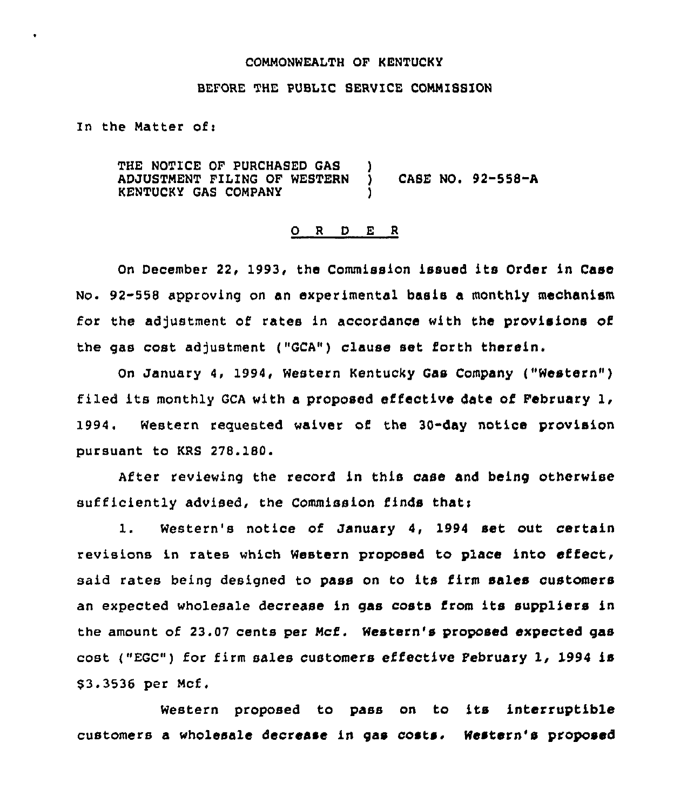### COMMONWEALTH OF KENTUCKY

## BEFORE THE PUBLIC SERVICE COMMISSION

In the Matter of:

THE NOTICE OF PURCHASED GAS )<br>ADJUSTMENT FILING OF WESTERN ) ADJUSTMENT FILING OF WESTERN ) CASE NO. 92-558-A KENTUCKY GAS COMPANY )

#### 0 <sup>R</sup> <sup>D</sup> E <sup>R</sup>

On December 22, 1993, the Commission issued its Order in Case No. 92-558 approving on an experimental basis a monthly mechanism for the adjustment of rates in accordance with the provisions of the gas cost adjustment ("GCA") clause set forth therein.

On January 4, 1994, Western Kentucky Gas Company ("Western" ) filed its monthly GCA with <sup>a</sup> proposed effective date of February 1, 1994. Western requested waiver of the 30"day notice provision pursuant to KRS 278.180.

After reviewing the record in this case and being otherwise sufficiently advised, the Commission finds that:

1. Western's notice of January 4, 1994 set out certain revisions in rates which Western proposed to place into effect, said rates being designed to pass on to its firm sales customers an expected wholesale decrease in gas costs from its suppliers in the amount of 23,07 cents per Mcf. Western's proposed expected gas cost ("EGC") for firm sales customers effective February 1, 1994 is \$ 3.3536 per Mcf.

Western proposed to pass on to its interruptible customers a wholesale decrease in gas costs. Western's proposed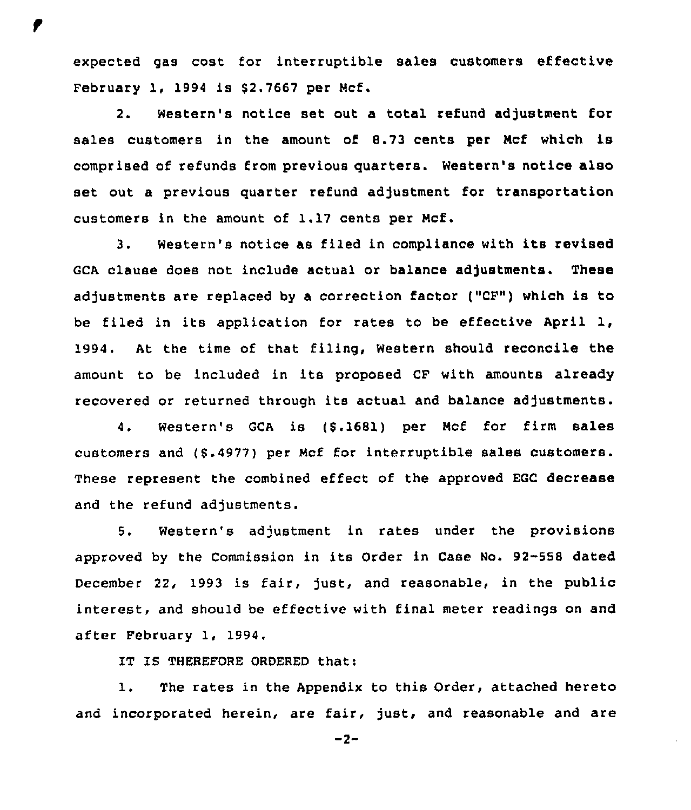expected gas cost for interruptible sales customers effective February 1, 1994 is \$2.7667 per Mcf.

2. Western's notice set out a total refund adjustment for sales customers in the amount of 8.73 cents per Mcf which is comprised of refunds from previous quarters. Western's notice also set out a previous quarter refund adjustment for transportation customers in the amount of  $1.17$  cents per Mcf.

3. Western's notice as filed in compliance with its revised GCA clause does not include actual or balance adjustments. These adjustments are replaced by a correction factor ("CF") which is to be filed in its application for rates to be effective April 1, 1994. At the time of that filing, Western should reconcile the amount to be included in its proposed CF with amounts already recovered or returned through its actual and balance adjustments.

4. Western's GCA is (8.1681) per Mcf for firm sales customers and (5.4977) per Mcf for interruptible sales customers. These represent the combined effect of the approved EGC decrease and the refund adjustments.

5. Western's adjustment in rates under the provisions approved by the Commission in its Order in Case No, 92-558 dated December 22, 1993 is fair, just, and reasonable, in the public interest, and should be effective with final meter readings on and after February 1, 1994.

IT IS THEREFORE ORDERED that:

1. The rates in the Appendix to this Order, attached hereto and incorporated herein, are fair, just, and reasonable and are

 $-2-$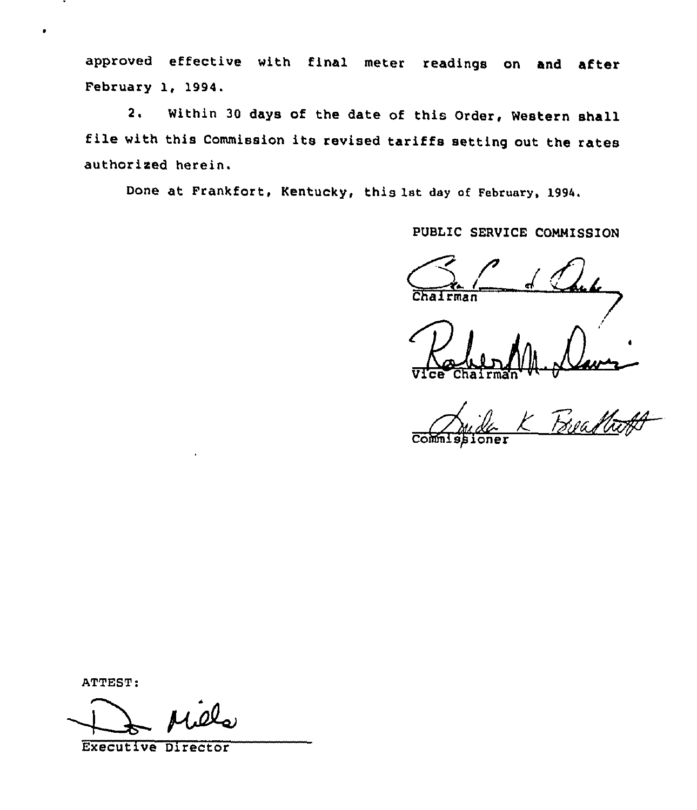approved effective with final meter readings on and after February 1, 1994.

2. Within <sup>30</sup> days of the date of this Order, Western shall file with this Commission its revised tariffs setting out the rates authorised herein.

Done at Frankfort, Kentucky, this 1st day of February, 1994.

PUBLIC SERVICE COMMISSION

rman

Ra Vice Chairma  $\mathcal{H}^{\mathcal{U}}$ 

Frea M. 11 Commissioner

ATTEST:

 $\bullet$ 

Executive Director